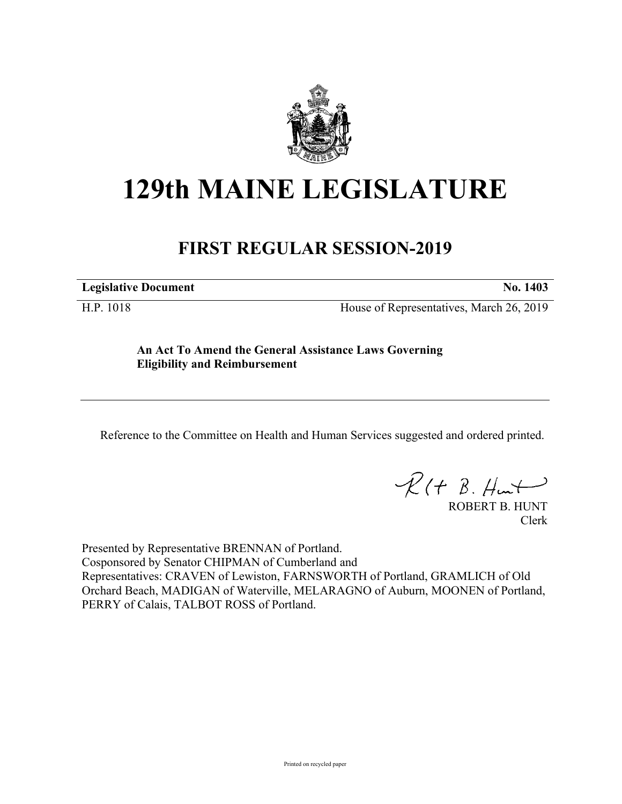

## **129th MAINE LEGISLATURE**

## **FIRST REGULAR SESSION-2019**

**Legislative Document No. 1403**

H.P. 1018 House of Representatives, March 26, 2019

**An Act To Amend the General Assistance Laws Governing Eligibility and Reimbursement**

Reference to the Committee on Health and Human Services suggested and ordered printed.

 $R(t B. Hmt)$ 

ROBERT B. HUNT Clerk

Presented by Representative BRENNAN of Portland. Cosponsored by Senator CHIPMAN of Cumberland and Representatives: CRAVEN of Lewiston, FARNSWORTH of Portland, GRAMLICH of Old Orchard Beach, MADIGAN of Waterville, MELARAGNO of Auburn, MOONEN of Portland, PERRY of Calais, TALBOT ROSS of Portland.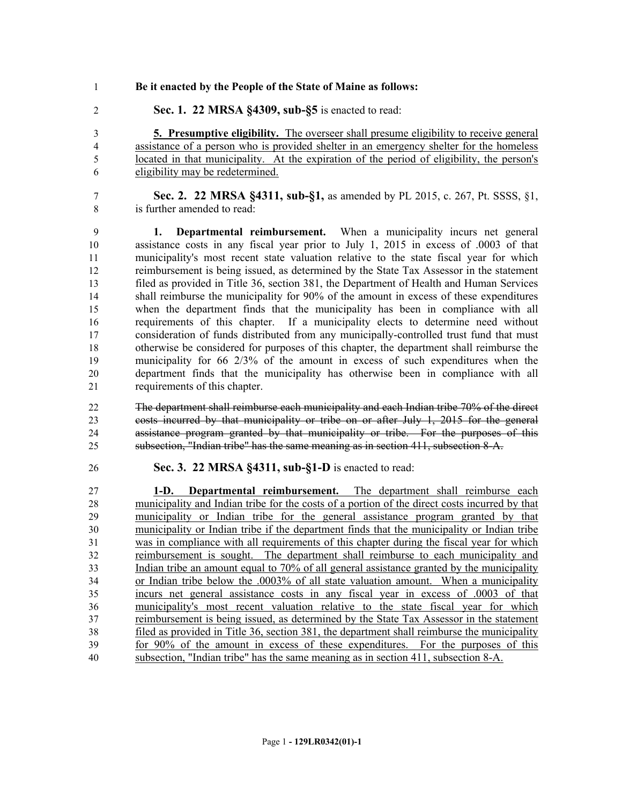- **Be it enacted by the People of the State of Maine as follows:**
- **Sec. 1. 22 MRSA §4309, sub-§5** is enacted to read:

 **5. Presumptive eligibility.** The overseer shall presume eligibility to receive general assistance of a person who is provided shelter in an emergency shelter for the homeless located in that municipality. At the expiration of the period of eligibility, the person's eligibility may be redetermined.

 **Sec. 2. 22 MRSA §4311, sub-§1,** as amended by PL 2015, c. 267, Pt. SSSS, §1, is further amended to read:

 **1. Departmental reimbursement.** When a municipality incurs net general assistance costs in any fiscal year prior to July 1, 2015 in excess of .0003 of that municipality's most recent state valuation relative to the state fiscal year for which reimbursement is being issued, as determined by the State Tax Assessor in the statement filed as provided in Title 36, section 381, the Department of Health and Human Services shall reimburse the municipality for 90% of the amount in excess of these expenditures when the department finds that the municipality has been in compliance with all requirements of this chapter. If a municipality elects to determine need without consideration of funds distributed from any municipally-controlled trust fund that must otherwise be considered for purposes of this chapter, the department shall reimburse the municipality for 66 2/3% of the amount in excess of such expenditures when the department finds that the municipality has otherwise been in compliance with all requirements of this chapter.

 The department shall reimburse each municipality and each Indian tribe 70% of the direct costs incurred by that municipality or tribe on or after July 1, 2015 for the general assistance program granted by that municipality or tribe. For the purposes of this subsection, "Indian tribe" has the same meaning as in section 411, subsection 8-A.

**Sec. 3. 22 MRSA §4311, sub-§1-D** is enacted to read:

 **1-D. Departmental reimbursement.** The department shall reimburse each municipality and Indian tribe for the costs of a portion of the direct costs incurred by that municipality or Indian tribe for the general assistance program granted by that municipality or Indian tribe if the department finds that the municipality or Indian tribe was in compliance with all requirements of this chapter during the fiscal year for which reimbursement is sought. The department shall reimburse to each municipality and Indian tribe an amount equal to 70% of all general assistance granted by the municipality or Indian tribe below the .0003% of all state valuation amount. When a municipality incurs net general assistance costs in any fiscal year in excess of .0003 of that municipality's most recent valuation relative to the state fiscal year for which reimbursement is being issued, as determined by the State Tax Assessor in the statement filed as provided in Title 36, section 381, the department shall reimburse the municipality for 90% of the amount in excess of these expenditures. For the purposes of this subsection, "Indian tribe" has the same meaning as in section 411, subsection 8-A.